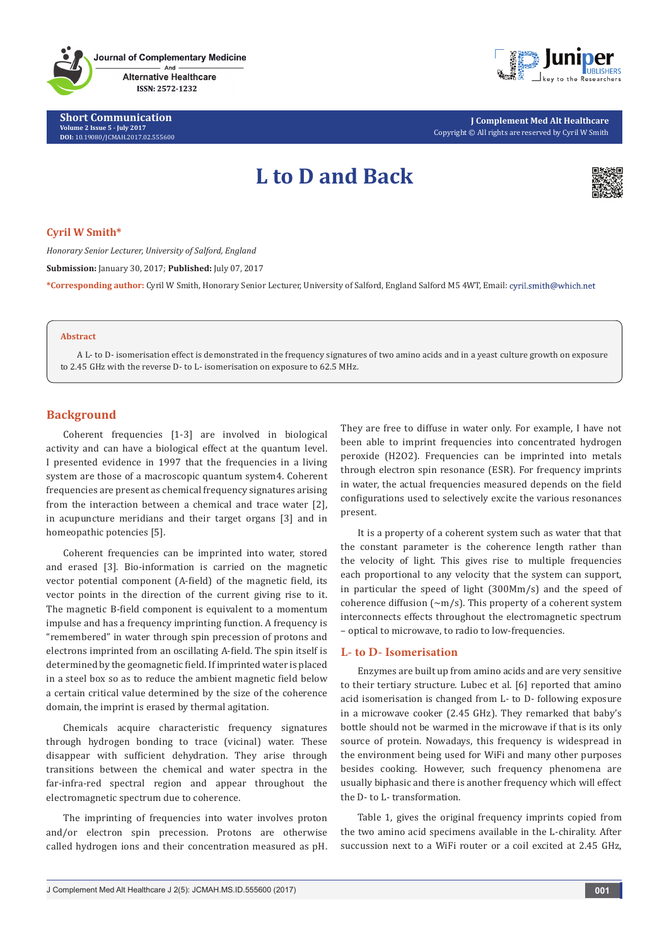**Journal of Complementary Medicine**  $And$ 

> **Alternative Healthcare** ISSN: 2572-1232

**Short Communication Volume 2 Issue 5 - July 2017 DOI:** [10.19080/JCMAH.2017.02.555600](http://dx.doi.org/10.19080/JCMAH.2017.02.555600)



**J Complement Med Alt Healthcare** Copyright © All rights are reserved by Cyril W Smith

# **L to D and Back**



## **Cyril W Smith\***

*Honorary Senior Lecturer, University of Salford, England*

**Submission:** January 30, 2017; **Published:** July 07, 2017

**\*Corresponding author:** Cyril W Smith, Honorary Senior Lecturer, University of Salford, England Salford M5 4WT, Email:

## **Abstract**

A L- to D- isomerisation effect is demonstrated in the frequency signatures of two amino acids and in a yeast culture growth on exposure to 2.45 GHz with the reverse D- to L- isomerisation on exposure to 62.5 MHz.

## **Background**

Coherent frequencies [1-3] are involved in biological activity and can have a biological effect at the quantum level. I presented evidence in 1997 that the frequencies in a living system are those of a macroscopic quantum system4. Coherent frequencies are present as chemical frequency signatures arising from the interaction between a chemical and trace water [2], in acupuncture meridians and their target organs [3] and in homeopathic potencies [5].

Coherent frequencies can be imprinted into water, stored and erased [3]. Bio-information is carried on the magnetic vector potential component (A-field) of the magnetic field, its vector points in the direction of the current giving rise to it. The magnetic B-field component is equivalent to a momentum impulse and has a frequency imprinting function. A frequency is "remembered" in water through spin precession of protons and electrons imprinted from an oscillating A-field. The spin itself is determined by the geomagnetic field. If imprinted water is placed in a steel box so as to reduce the ambient magnetic field below a certain critical value determined by the size of the coherence domain, the imprint is erased by thermal agitation.

Chemicals acquire characteristic frequency signatures through hydrogen bonding to trace (vicinal) water. These disappear with sufficient dehydration. They arise through transitions between the chemical and water spectra in the far-infra-red spectral region and appear throughout the electromagnetic spectrum due to coherence.

The imprinting of frequencies into water involves proton and/or electron spin precession. Protons are otherwise called hydrogen ions and their concentration measured as pH. They are free to diffuse in water only. For example, I have not been able to imprint frequencies into concentrated hydrogen peroxide (H2O2). Frequencies can be imprinted into metals through electron spin resonance (ESR). For frequency imprints in water, the actual frequencies measured depends on the field configurations used to selectively excite the various resonances present.

It is a property of a coherent system such as water that that the constant parameter is the coherence length rather than the velocity of light. This gives rise to multiple frequencies each proportional to any velocity that the system can support, in particular the speed of light (300Mm/s) and the speed of coherence diffusion  $({\sim}m/s)$ . This property of a coherent system interconnects effects throughout the electromagnetic spectrum – optical to microwave, to radio to low-frequencies.

## **L- to D- Isomerisation**

Enzymes are built up from amino acids and are very sensitive to their tertiary structure. Lubec et al. [6] reported that amino acid isomerisation is changed from L- to D- following exposure in a microwave cooker (2.45 GHz). They remarked that baby's bottle should not be warmed in the microwave if that is its only source of protein. Nowadays, this frequency is widespread in the environment being used for WiFi and many other purposes besides cooking. However, such frequency phenomena are usually biphasic and there is another frequency which will effect the D- to L- transformation.

Table 1, gives the original frequency imprints copied from the two amino acid specimens available in the L-chirality. After succussion next to a WiFi router or a coil excited at 2.45 GHz,